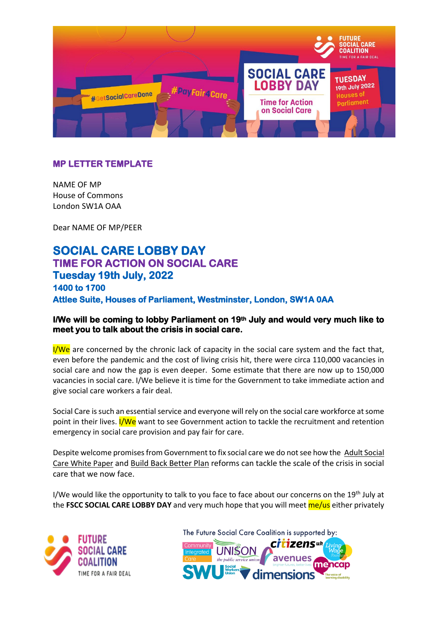

## **MP LETTER TEMPLATE**

NAME OF MP House of Commons London SW1A OAA

Dear NAME OF MP/PEER

## **SOCIAL CARE LOBBY DAY TIME FOR ACTION ON SOCIAL CARE Tuesday 19th July, 2022 1400 to 1700 Attlee Suite, Houses of Parliament, Westminster, London, SW1A 0AA**

## **I/We will be coming to lobby Parliament on 19th July and would very much like to meet you to talk about the crisis in social care.**

 $I/We$  are concerned by the chronic lack of capacity in the social care system and the fact that, even before the pandemic and the cost of living crisis hit, there were circa 110,000 vacancies in social care and now the gap is even deeper. Some estimate that there are now up to 150,000 vacancies in social care. I/We believe it is time for the Government to take immediate action and give social care workers a fair deal.

Social Care is such an essential service and everyone will rely on the social care workforce at some point in their lives. I/We want to see Government action to tackle the recruitment and retention emergency in social care provision and pay fair for care.

Despite welcome promisesfrom Government to fix social care we do not see how the [Adult Social](https://devoconnect.cmail19.com/t/y-i-bhyquy-l-r/)  [Care White Paper](https://devoconnect.cmail19.com/t/y-i-bhyquy-l-r/) an[d Build Back Better Plan](https://devoconnect.cmail19.com/t/y-i-bhyquy-l-j/) reforms can tackle the scale of the crisis in social care that we now face.

I/We would like the opportunity to talk to you face to face about our concerns on the 19th July at the **FSCC SOCIAL CARE LOBBY DAY** and very much hope that you will meet me/us either privately